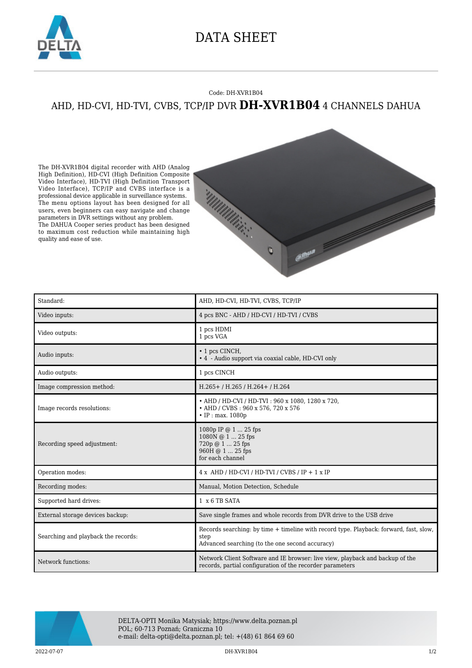

## DATA SHEET

## Code: DH-XVR1B04 AHD, HD-CVI, HD-TVI, CVBS, TCP/IP DVR **DH-XVR1B04** 4 CHANNELS DAHUA

The DH-XVR1B04 digital recorder with AHD (Analog High Definition), HD-CVI (High Definition Composite Video Interface), HD-TVI (High Definition Transport Video Interface), TCP/IP and CVBS interface is a professional device applicable in surveillance systems. The menu options layout has been designed for all users, even beginners can easy navigate and change parameters in DVR settings without any problem. The DAHUA Cooper series product has been designed to maximum cost reduction while maintaining high quality and ease of use.



| Standard:                           | AHD, HD-CVI, HD-TVI, CVBS, TCP/IP                                                                                                                 |
|-------------------------------------|---------------------------------------------------------------------------------------------------------------------------------------------------|
| Video inputs:                       | 4 pcs BNC - AHD / HD-CVI / HD-TVI / CVBS                                                                                                          |
| Video outputs:                      | 1 pcs HDMI<br>1 pcs VGA                                                                                                                           |
| Audio inputs:                       | $\cdot$ 1 pcs CINCH,<br>• 4 - Audio support via coaxial cable, HD-CVI only                                                                        |
| Audio outputs:                      | 1 pcs CINCH                                                                                                                                       |
| Image compression method:           | H.265+/H.265/H.264+/H.264                                                                                                                         |
| Image records resolutions:          | • AHD / HD-CVI / HD-TVI: 960 x 1080, 1280 x 720,<br>• AHD / CVBS: 960 x 576, 720 x 576<br>$\cdot$ IP : max. 1080p                                 |
| Recording speed adjustment:         | 1080p IP @ 1  25 fps<br>1080N @ 1  25 fps<br>720p @ 1  25 fps<br>960H @ 1  25 fps<br>for each channel                                             |
| Operation modes:                    | $4x$ AHD / HD-CVI / HD-TVI / CVBS / IP + 1 x IP                                                                                                   |
| Recording modes:                    | Manual, Motion Detection, Schedule                                                                                                                |
| Supported hard drives:              | 1 x 6 TB SATA                                                                                                                                     |
| External storage devices backup:    | Save single frames and whole records from DVR drive to the USB drive                                                                              |
| Searching and playback the records: | Records searching: by time + timeline with record type. Playback: forward, fast, slow,<br>step<br>Advanced searching (to the one second accuracy) |
| Network functions:                  | Network Client Software and IE browser: live view, playback and backup of the<br>records, partial configuration of the recorder parameters        |



DELTA-OPTI Monika Matysiak; https://www.delta.poznan.pl POL; 60-713 Poznań; Graniczna 10 e-mail: delta-opti@delta.poznan.pl; tel: +(48) 61 864 69 60